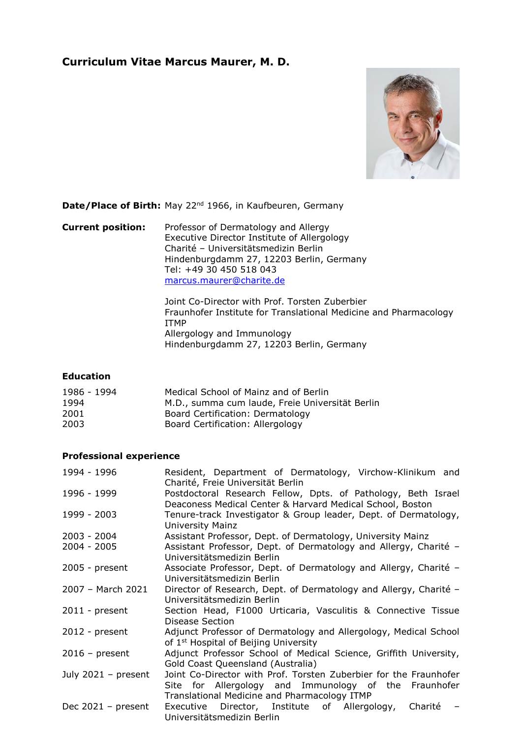# **Curriculum Vitae Marcus Maurer, M. D.**



**Date/Place of Birth:** May 22nd 1966, in Kaufbeuren, Germany

**Current position:** Professor of Dermatology and Allergy Executive Director Institute of Allergology Charité – Universitätsmedizin Berlin Hindenburgdamm 27, 12203 Berlin, Germany Tel: +49 30 450 518 043 [marcus.maurer@charite.de](mailto:marcus.maurer@charite.de)

> Joint Co-Director with Prof. Torsten Zuberbier Fraunhofer Institute for Translational Medicine and Pharmacology ITMP Allergology and Immunology Hindenburgdamm 27, 12203 Berlin, Germany

## **Education**

| Medical School of Mainz and of Berlin           |
|-------------------------------------------------|
| M.D., summa cum laude, Freie Universität Berlin |
| Board Certification: Dermatology                |
| Board Certification: Allergology                |
|                                                 |

# **Professional experience**

| 1994 - 1996           | Resident, Department of Dermatology, Virchow-Klinikum and         |
|-----------------------|-------------------------------------------------------------------|
|                       | Charité, Freie Universität Berlin                                 |
| 1996 - 1999           | Postdoctoral Research Fellow, Dpts. of Pathology, Beth Israel     |
|                       | Deaconess Medical Center & Harvard Medical School, Boston         |
| 1999 - 2003           | Tenure-track Investigator & Group leader, Dept. of Dermatology,   |
|                       | <b>University Mainz</b>                                           |
| 2003 - 2004           | Assistant Professor, Dept. of Dermatology, University Mainz       |
| $2004 - 2005$         | Assistant Professor, Dept. of Dermatology and Allergy, Charité -  |
|                       | Universitätsmedizin Berlin                                        |
| $2005$ - present      | Associate Professor, Dept. of Dermatology and Allergy, Charité -  |
|                       | Universitätsmedizin Berlin                                        |
| 2007 - March 2021     | Director of Research, Dept. of Dermatology and Allergy, Charité - |
|                       | Universitätsmedizin Berlin                                        |
| $2011$ - present      | Section Head, F1000 Urticaria, Vasculitis & Connective Tissue     |
|                       | Disease Section                                                   |
| $2012$ - present      | Adjunct Professor of Dermatology and Allergology, Medical School  |
|                       | of 1 <sup>st</sup> Hospital of Beijing University                 |
| $2016$ – present      | Adjunct Professor School of Medical Science, Griffith University, |
|                       | Gold Coast Queensland (Australia)                                 |
| July $2021 - present$ | Joint Co-Director with Prof. Torsten Zuberbier for the Fraunhofer |
|                       | Site for Allergology and Immunology of the Fraunhofer             |
|                       | Translational Medicine and Pharmacology ITMP                      |
| Dec $2021 - present$  | Executive Director, Institute of Allergology,<br>Charité          |
|                       | Universitätsmedizin Berlin                                        |